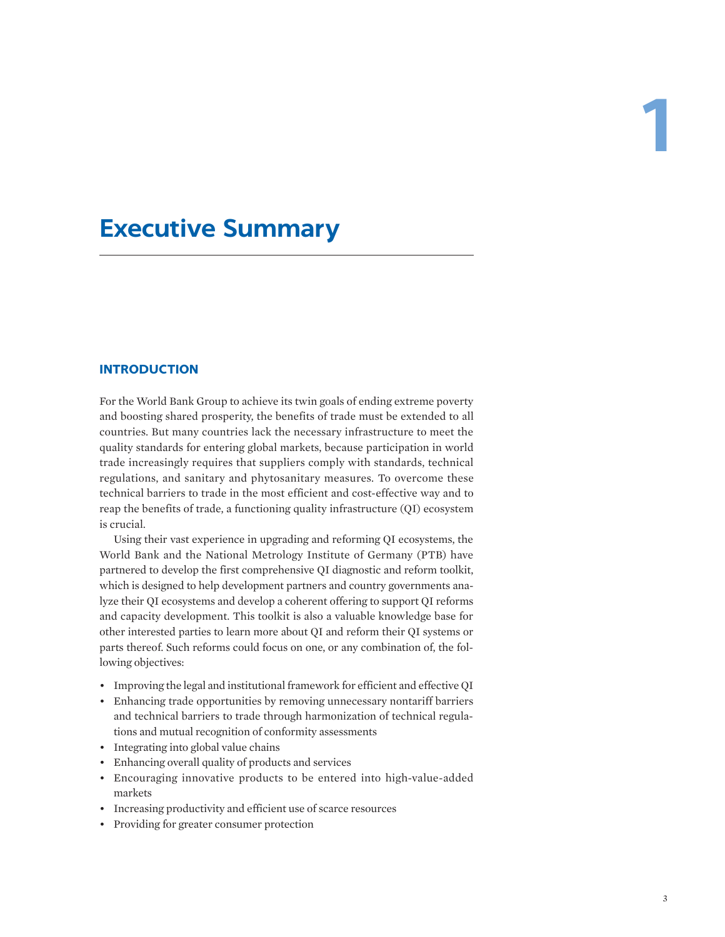# **Executive Summary**

# **INTRODUCTION**

For the World Bank Group to achieve its twin goals of ending extreme poverty and boosting shared prosperity, the benefits of trade must be extended to all countries. But many countries lack the necessary infrastructure to meet the quality standards for entering global markets, because participation in world trade increasingly requires that suppliers comply with standards, technical regulations, and sanitary and phytosanitary measures. To overcome these technical barriers to trade in the most efficient and cost-effective way and to reap the benefits of trade, a functioning quality infrastructure (QI) ecosystem is crucial.

Using their vast experience in upgrading and reforming QI ecosystems, the World Bank and the National Metrology Institute of Germany (PTB) have partnered to develop the first comprehensive QI diagnostic and reform toolkit, which is designed to help development partners and country governments analyze their QI ecosystems and develop a coherent offering to support QI reforms and capacity development. This toolkit is also a valuable knowledge base for other interested parties to learn more about QI and reform their QI systems or parts thereof. Such reforms could focus on one, or any combination of, the following objectives:

- Improving the legal and institutional framework for efficient and effective QI
- Enhancing trade opportunities by removing unnecessary nontariff barriers and technical barriers to trade through harmonization of technical regulations and mutual recognition of conformity assessments
- Integrating into global value chains
- Enhancing overall quality of products and services
- Encouraging innovative products to be entered into high-value-added markets
- Increasing productivity and efficient use of scarce resources
- Providing for greater consumer protection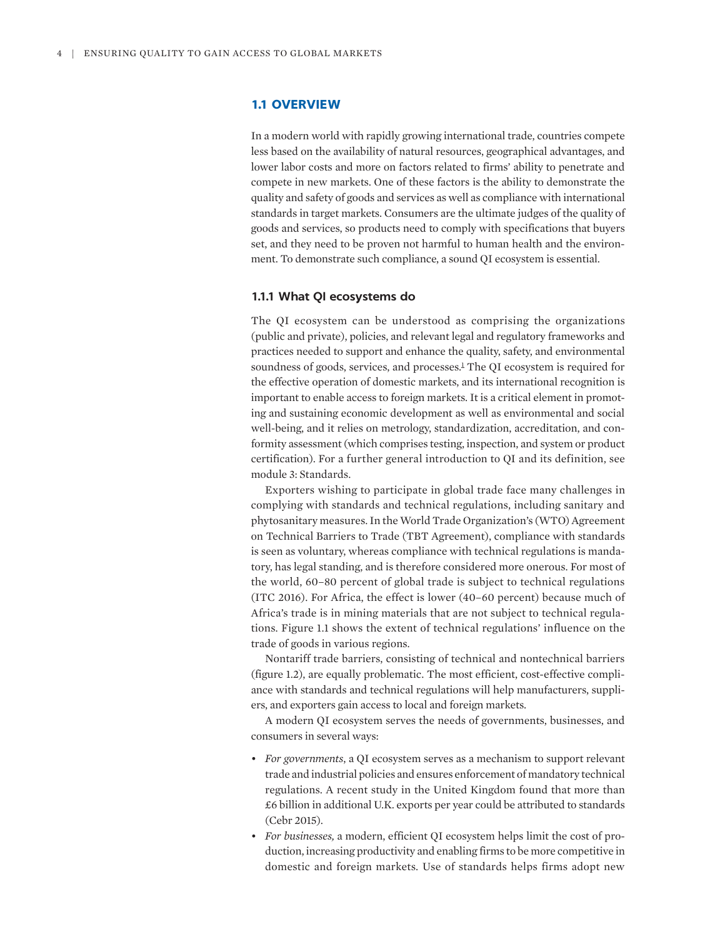# **1.1 OVERVIEW**

In a modern world with rapidly growing international trade, countries compete less based on the availability of natural resources, geographical advantages, and lower labor costs and more on factors related to firms' ability to penetrate and compete in new markets. One of these factors is the ability to demonstrate the quality and safety of goods and services as well as compliance with international standards in target markets. Consumers are the ultimate judges of the quality of goods and services, so products need to comply with specifications that buyers set, and they need to be proven not harmful to human health and the environment. To demonstrate such compliance, a sound QI ecosystem is essential.

## **1.1.1 What QI ecosystems do**

<span id="page-1-0"></span>The QI ecosystem can be understood as comprising the organizations (public and private), policies, and relevant legal and regulatory frameworks and practices needed to support and enhance the quality, safety, and environmental soundness of goods, services, and processes.<sup>[1](#page-12-0)</sup> The QI ecosystem is required for the effective operation of domestic markets, and its international recognition is important to enable access to foreign markets. It is a critical element in promoting and sustaining economic development as well as environmental and social well-being, and it relies on metrology, standardization, accreditation, and conformity assessment (which comprises testing, inspection, and system or product certification). For a further general introduction to QI and its definition, see module 3: Standards.

Exporters wishing to participate in global trade face many challenges in complying with standards and technical regulations, including sanitary and phytosanitary measures. In the World Trade Organization's (WTO) Agreement on Technical Barriers to Trade (TBT Agreement), compliance with standards is seen as voluntary, whereas compliance with technical regulations is mandatory, has legal standing, and is therefore considered more onerous. For most of the world, 60–80 percent of global trade is subject to technical regulations (ITC 2016). For Africa, the effect is lower (40–60 percent) because much of Africa's trade is in mining materials that are not subject to technical regulations. Figure 1.1 shows the extent of technical regulations' influence on the trade of goods in various regions.

Nontariff trade barriers, consisting of technical and nontechnical barriers (figure 1.2), are equally problematic. The most efficient, cost-effective compliance with standards and technical regulations will help manufacturers, suppliers, and exporters gain access to local and foreign markets.

A modern QI ecosystem serves the needs of governments, businesses, and consumers in several ways:

- *For governments*, a QI ecosystem serves as a mechanism to support relevant trade and industrial policies and ensures enforcement of mandatory technical regulations. A recent study in the United Kingdom found that more than £6 billion in additional U.K. exports per year could be attributed to standards (Cebr 2015).
- *For businesses,* a modern, efficient QI ecosystem helps limit the cost of production, increasing productivity and enabling firms to be more competitive in domestic and foreign markets. Use of standards helps firms adopt new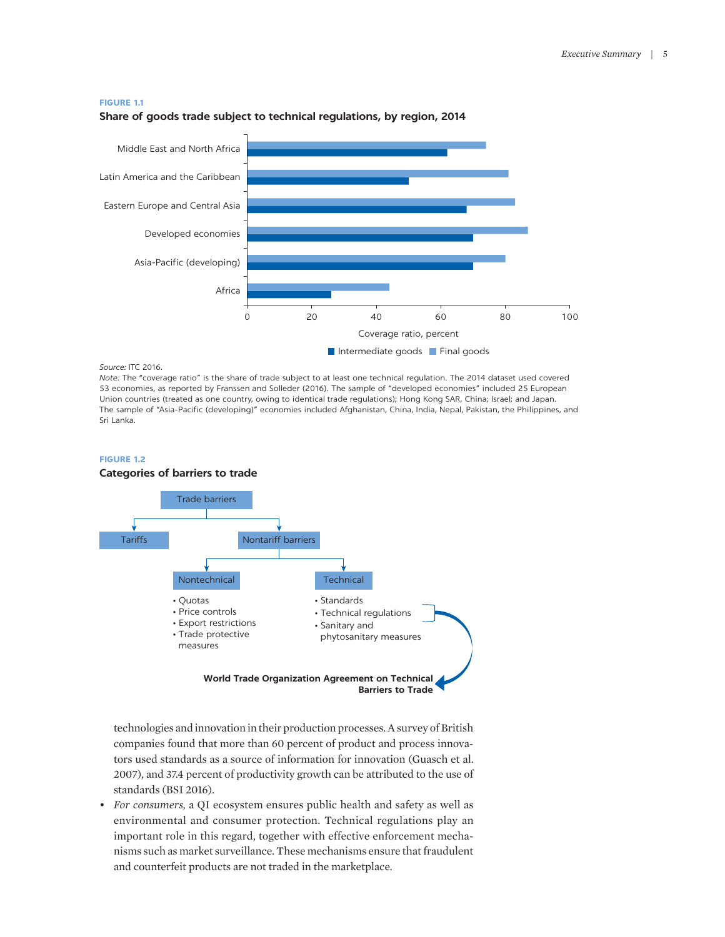#### **FIGURE 1.1**



## **Share of goods trade subject to technical regulations, by region, 2014**

#### *Source:* ITC 2016.

*Note:* The "coverage ratio" is the share of trade subject to at least one technical regulation. The 2014 dataset used covered 53 economies, as reported by Franssen and Solleder (2016). The sample of "developed economies" included 25 European Union countries (treated as one country, owing to identical trade regulations); Hong Kong SAR, China; Israel; and Japan. The sample of "Asia-Pacific (developing)" economies included Afghanistan, China, India, Nepal, Pakistan, the Philippines, and Sri Lanka.

#### **FIGURE 1.2**



technologies and innovation in their production processes. A survey of British companies found that more than 60 percent of product and process innovators used standards as a source of information for innovation (Guasch et al. 2007), and 37.4 percent of productivity growth can be attributed to the use of standards (BSI 2016).

• *For consumers,* a QI ecosystem ensures public health and safety as well as environmental and consumer protection. Technical regulations play an important role in this regard, together with effective enforcement mechanisms such as market surveillance. These mechanisms ensure that fraudulent and counterfeit products are not traded in the marketplace.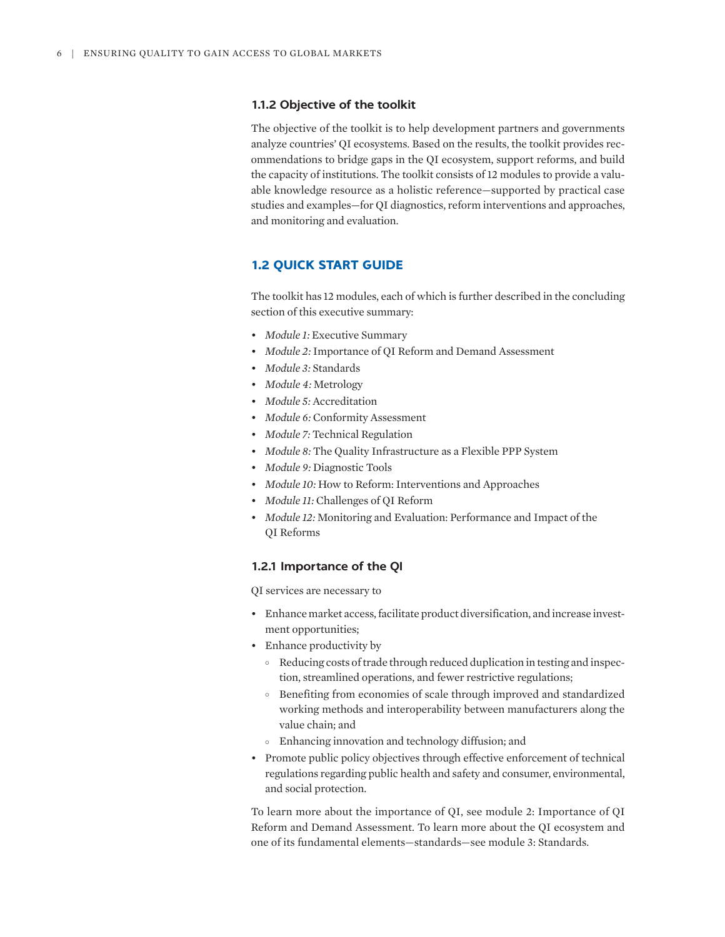## **1.1.2 Objective of the toolkit**

The objective of the toolkit is to help development partners and governments analyze countries' QI ecosystems. Based on the results, the toolkit provides recommendations to bridge gaps in the QI ecosystem, support reforms, and build the capacity of institutions. The toolkit consists of 12 modules to provide a valuable knowledge resource as a holistic reference—supported by practical case studies and examples—for QI diagnostics, reform interventions and approaches, and monitoring and evaluation.

# **1.2 QUICK START GUIDE**

The toolkit has 12 modules, each of which is further described in the concluding section of this executive summary:

- *Module 1:* Executive Summary
- *Module 2:* Importance of QI Reform and Demand Assessment
- *Module 3:* Standards
- *Module 4:* Metrology
- *Module 5:* Accreditation
- *Module 6:* Conformity Assessment
- *Module 7:* Technical Regulation
- *Module 8:* The Quality Infrastructure as a Flexible PPP System
- *Module 9:* Diagnostic Tools
- *Module 10:* How to Reform: Interventions and Approaches
- *Module 11:* Challenges of QI Reform
- *Module 12:* Monitoring and Evaluation: Performance and Impact of the QI Reforms

# **1.2.1 Importance of the QI**

QI services are necessary to

- Enhance market access, facilitate product diversification, and increase investment opportunities;
- Enhance productivity by
	- ° Reducing costs of trade through reduced duplication in testing and inspection, streamlined operations, and fewer restrictive regulations;
	- ° Benefiting from economies of scale through improved and standardized working methods and interoperability between manufacturers along the value chain; and
	- ° Enhancing innovation and technology diffusion; and
- Promote public policy objectives through effective enforcement of technical regulations regarding public health and safety and consumer, environmental, and social protection.

To learn more about the importance of QI, see module 2: Importance of QI Reform and Demand Assessment. To learn more about the QI ecosystem and one of its fundamental elements—standards—see module 3: Standards.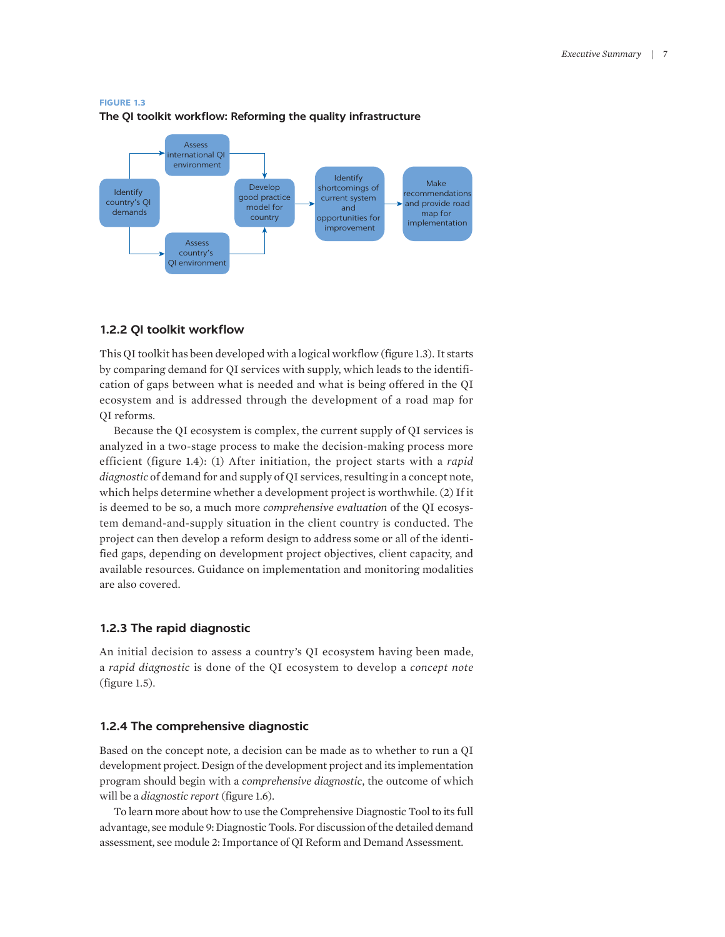

## **FIGURE 1.3 The QI toolkit workflow: Reforming the quality infrastructure**

# **1.2.2 QI toolkit workflow**

This QI toolkit has been developed with a logical workflow (figure 1.3). It starts by comparing demand for QI services with supply, which leads to the identification of gaps between what is needed and what is being offered in the QI ecosystem and is addressed through the development of a road map for QI reforms.

Because the QI ecosystem is complex, the current supply of QI services is analyzed in a two-stage process to make the decision-making process more efficient (figure 1.4): (1) After initiation, the project starts with a *rapid diagnostic* of demand for and supply of QI services, resulting in a concept note, which helps determine whether a development project is worthwhile. (2) If it is deemed to be so, a much more *comprehensive evaluation* of the QI ecosystem demand-and-supply situation in the client country is conducted. The project can then develop a reform design to address some or all of the identified gaps, depending on development project objectives, client capacity, and available resources. Guidance on implementation and monitoring modalities are also covered.

# **1.2.3 The rapid diagnostic**

An initial decision to assess a country's QI ecosystem having been made, a *rapid diagnostic* is done of the QI ecosystem to develop a *concept note* (figure 1.5).

## **1.2.4 The comprehensive diagnostic**

Based on the concept note, a decision can be made as to whether to run a QI development project. Design of the development project and its implementation program should begin with a *comprehensive diagnostic*, the outcome of which will be a *diagnostic report* (figure 1.6).

To learn more about how to use the Comprehensive Diagnostic Tool to its full advantage, see module 9: Diagnostic Tools. For discussion of the detailed demand assessment, see module 2: Importance of QI Reform and Demand Assessment.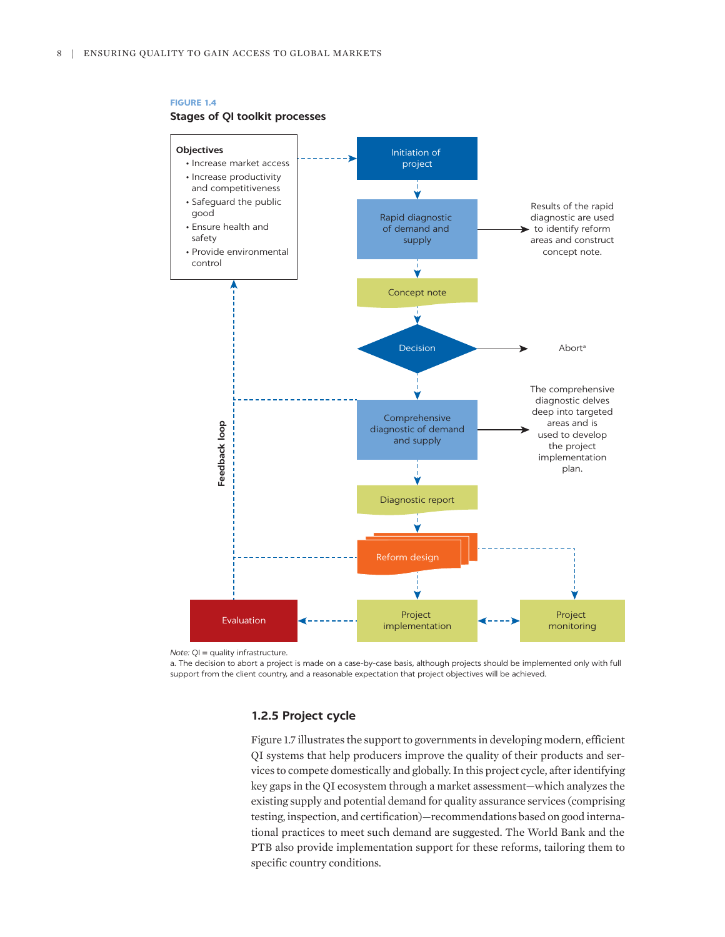

## **FIGURE 1.4 Stages of QI toolkit processes**

*Note:* QI = quality infrastructure.

a. The decision to abort a project is made on a case-by-case basis, although projects should be implemented only with full support from the client country, and a reasonable expectation that project objectives will be achieved.

# **1.2.5 Project cycle**

Figure 1.7 illustrates the support to governments in developing modern, efficient QI systems that help producers improve the quality of their products and services to compete domestically and globally. In this project cycle, after identifying key gaps in the QI ecosystem through a market assessment—which analyzes the existing supply and potential demand for quality assurance services (comprising testing, inspection, and certification)—recommendations based on good international practices to meet such demand are suggested. The World Bank and the PTB also provide implementation support for these reforms, tailoring them to specific country conditions.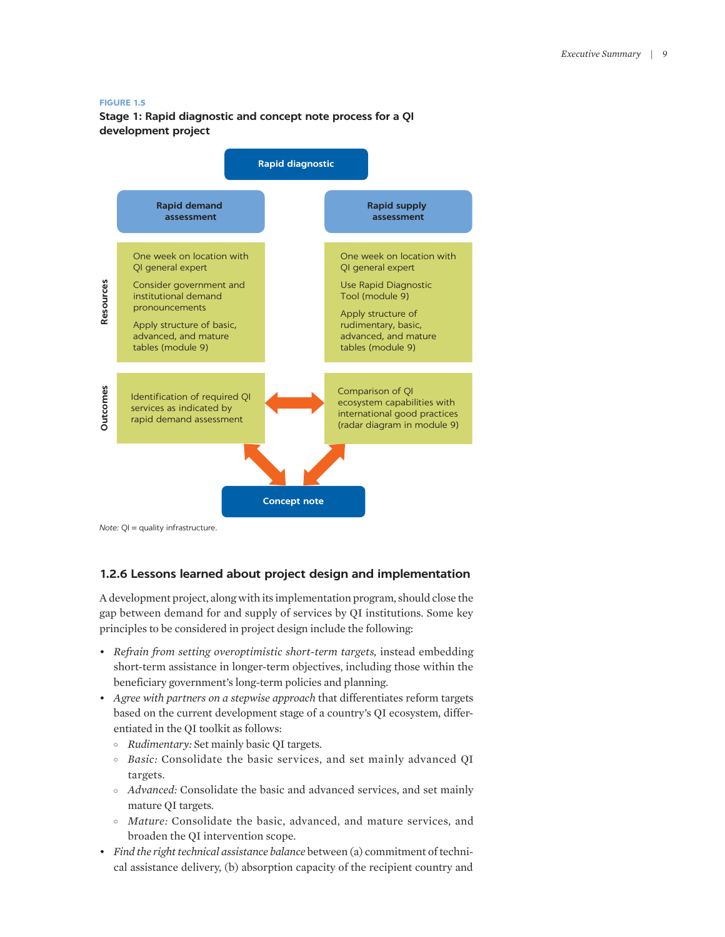#### **FIGURE 1.5**

**Stage 1: Rapid diagnostic and concept note process for a QI development project**



*Note:* QI = quality infrastructure.

# **1.2.6 Lessons learned about project design and implementation**

A development project, along with its implementation program, should close the gap between demand for and supply of services by QI institutions. Some key principles to be considered in project design include the following:

- *Refrain from setting overoptimistic short-term targets,* instead embedding short-term assistance in longer-term objectives, including those within the beneficiary government's long-term policies and planning.
- *Agree with partners on a stepwise approach* that differentiates reform targets based on the current development stage of a country's QI ecosystem, differentiated in the QI toolkit as follows:
	- ° *Rudimentary:* Set mainly basic QI targets.
	- ° *Basic:* Consolidate the basic services, and set mainly advanced QI targets.
	- ° *Advanced:* Consolidate the basic and advanced services, and set mainly mature QI targets.
	- ° *Mature:* Consolidate the basic, advanced, and mature services, and broaden the QI intervention scope.
- *Find the right technical assistance balance* between (a) commitment of technical assistance delivery, (b) absorption capacity of the recipient country and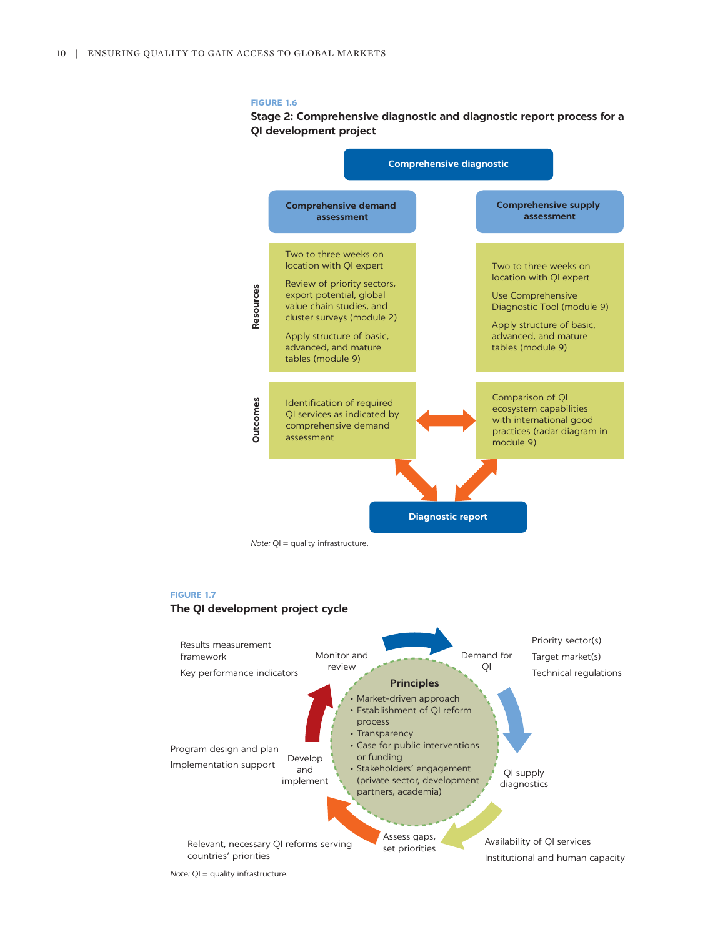#### **FIGURE 1.6**

## **Stage 2: Comprehensive diagnostic and diagnostic report process for a QI development project**



*Note:* QI = quality infrastructure.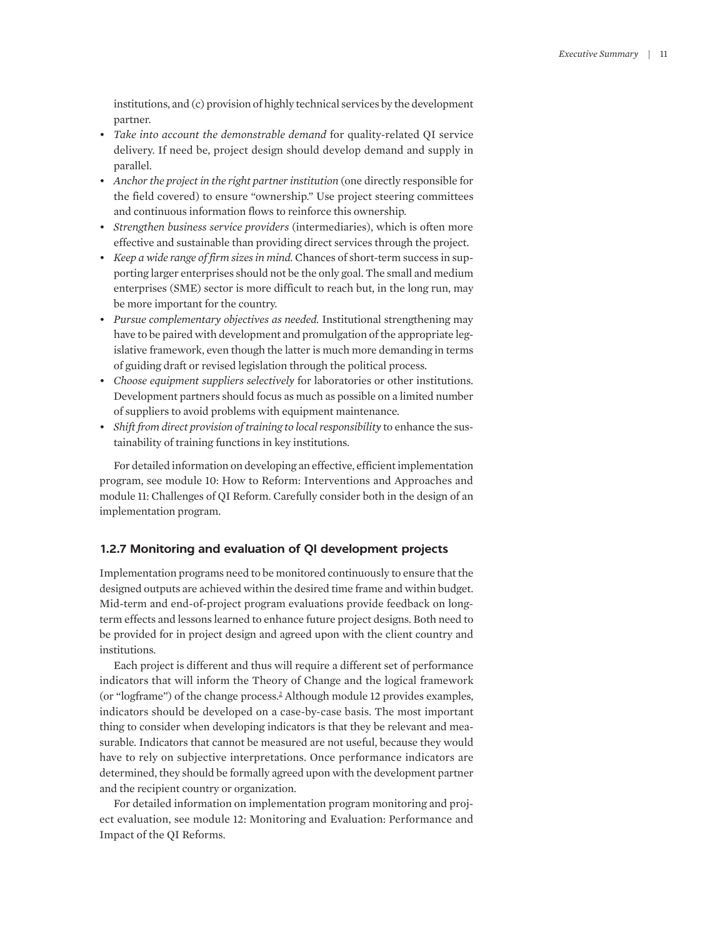institutions, and (c) provision of highly technical services by the development partner.

- *Take into account the demonstrable demand* for quality-related QI service delivery. If need be, project design should develop demand and supply in parallel.
- *Anchor the project in the right partner institution* (one directly responsible for the field covered) to ensure "ownership." Use project steering committees and continuous information flows to reinforce this ownership.
- *Strengthen business service providers* (intermediaries), which is often more effective and sustainable than providing direct services through the project.
- *Keep a wide range of firm sizes in mind.* Chances of short-term success in supporting larger enterprises should not be the only goal. The small and medium enterprises (SME) sector is more difficult to reach but, in the long run, may be more important for the country.
- *Pursue complementary objectives as needed.* Institutional strengthening may have to be paired with development and promulgation of the appropriate legislative framework, even though the latter is much more demanding in terms of guiding draft or revised legislation through the political process.
- *Choose equipment suppliers selectively* for laboratories or other institutions. Development partners should focus as much as possible on a limited number of suppliers to avoid problems with equipment maintenance.
- *Shift from direct provision of training to local responsibility* to enhance the sustainability of training functions in key institutions.

For detailed information on developing an effective, efficient implementation program, see module 10: How to Reform: Interventions and Approaches and module 11: Challenges of QI Reform. Carefully consider both in the design of an implementation program.

## **1.2.7 Monitoring and evaluation of QI development projects**

Implementation programs need to be monitored continuously to ensure that the designed outputs are achieved within the desired time frame and within budget. Mid-term and end-of-project program evaluations provide feedback on longterm effects and lessons learned to enhance future project designs. Both need to be provided for in project design and agreed upon with the client country and institutions.

<span id="page-8-0"></span>Each project is different and thus will require a different set of performance indicators that will inform the Theory of Change and the logical framework (or "logframe") of the change process.<sup>[2](#page-12-1)</sup> Although module 12 provides examples, indicators should be developed on a case-by-case basis. The most important thing to consider when developing indicators is that they be relevant and measurable. Indicators that cannot be measured are not useful, because they would have to rely on subjective interpretations. Once performance indicators are determined, they should be formally agreed upon with the development partner and the recipient country or organization.

For detailed information on implementation program monitoring and project evaluation, see module 12: Monitoring and Evaluation: Performance and Impact of the QI Reforms.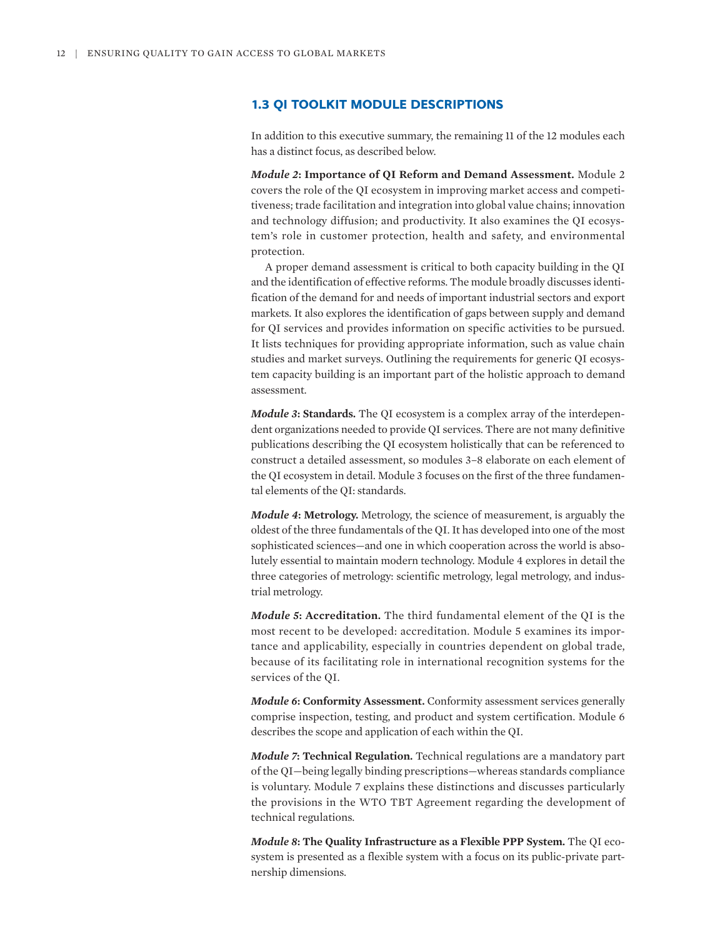# **1.3 QI TOOLKIT MODULE DESCRIPTIONS**

In addition to this executive summary, the remaining 11 of the 12 modules each has a distinct focus, as described below.

*Module 2***: Importance of QI Reform and Demand Assessment.** Module 2 covers the role of the QI ecosystem in improving market access and competitiveness; trade facilitation and integration into global value chains; innovation and technology diffusion; and productivity. It also examines the QI ecosystem's role in customer protection, health and safety, and environmental protection.

A proper demand assessment is critical to both capacity building in the QI and the identification of effective reforms. The module broadly discusses identification of the demand for and needs of important industrial sectors and export markets. It also explores the identification of gaps between supply and demand for QI services and provides information on specific activities to be pursued. It lists techniques for providing appropriate information, such as value chain studies and market surveys. Outlining the requirements for generic QI ecosystem capacity building is an important part of the holistic approach to demand assessment.

*Module 3***: Standards.** The QI ecosystem is a complex array of the interdependent organizations needed to provide QI services. There are not many definitive publications describing the QI ecosystem holistically that can be referenced to construct a detailed assessment, so modules 3–8 elaborate on each element of the QI ecosystem in detail. Module 3 focuses on the first of the three fundamental elements of the QI: standards.

*Module 4***: Metrology.** Metrology, the science of measurement, is arguably the oldest of the three fundamentals of the QI. It has developed into one of the most sophisticated sciences—and one in which cooperation across the world is absolutely essential to maintain modern technology. Module 4 explores in detail the three categories of metrology: scientific metrology, legal metrology, and industrial metrology.

*Module 5***: Accreditation.** The third fundamental element of the QI is the most recent to be developed: accreditation. Module 5 examines its importance and applicability, especially in countries dependent on global trade, because of its facilitating role in international recognition systems for the services of the QI.

*Module 6***: Conformity Assessment.** Conformity assessment services generally comprise inspection, testing, and product and system certification. Module 6 describes the scope and application of each within the QI.

*Module 7***: Technical Regulation.** Technical regulations are a mandatory part of the QI—being legally binding prescriptions—whereas standards compliance is voluntary. Module 7 explains these distinctions and discusses particularly the provisions in the WTO TBT Agreement regarding the development of technical regulations.

*Module 8***: The Quality Infrastructure as a Flexible PPP System.** The QI ecosystem is presented as a flexible system with a focus on its public-private partnership dimensions.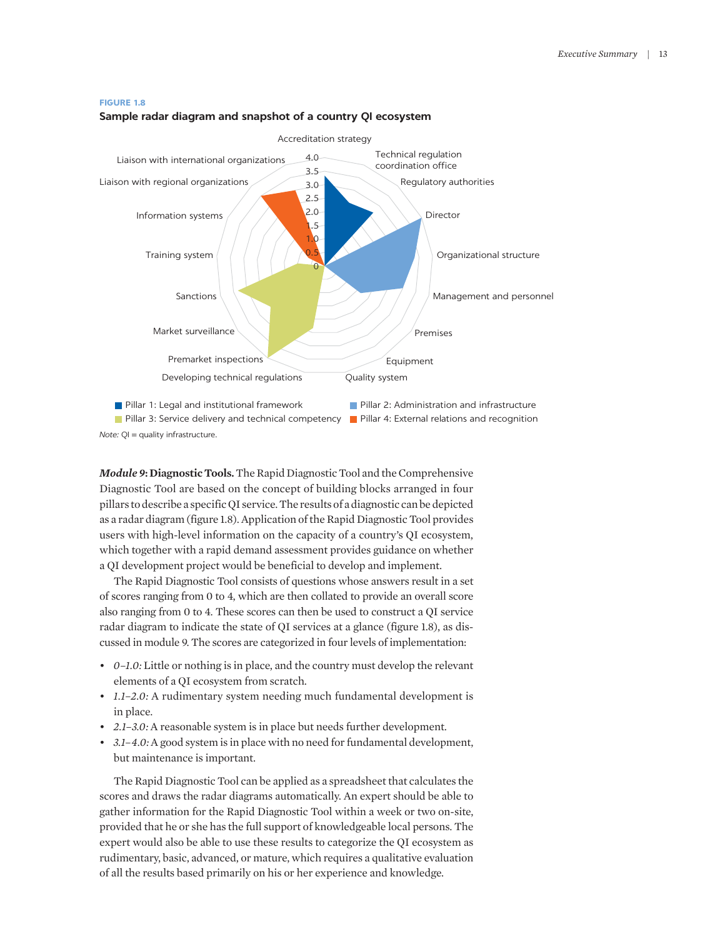

#### $\mathbf{0}$ 0.5  $\Omega$ 1.5 2.0 2.5 3.0 3.5 4.0 Accreditation strategy Technical regulation coordination office Regulatory authorities Director Organizational structure Management and personnel Premises Equipment Developing technical regulations **Quality system** Premarket inspections Market surveillance Sanctions Training system Information systems Liaison with regional organizations Liaison with international organizations **Pillar 1: Legal and institutional framework Pillar 2: Administration and infrastructure Pillar 3: Service delivery and technical competency PPillar 4: External relations and recognition**

#### **Sample radar diagram and snapshot of a country QI ecosystem**

*Note:*  $QI =$  quality infrastructure.

*Module 9***: Diagnostic Tools.** The Rapid Diagnostic Tool and the Comprehensive Diagnostic Tool are based on the concept of building blocks arranged in four pillars to describe a specific QI service. The results of a diagnostic can be depicted as a radar diagram (figure 1.8). Application of the Rapid Diagnostic Tool provides users with high-level information on the capacity of a country's QI ecosystem, which together with a rapid demand assessment provides guidance on whether a QI development project would be beneficial to develop and implement.

The Rapid Diagnostic Tool consists of questions whose answers result in a set of scores ranging from 0 to 4, which are then collated to provide an overall score also ranging from 0 to 4. These scores can then be used to construct a QI service radar diagram to indicate the state of QI services at a glance (figure 1.8), as discussed in module 9. The scores are categorized in four levels of implementation:

- *0–1.0:* Little or nothing is in place, and the country must develop the relevant elements of a QI ecosystem from scratch.
- *1.1–2.0:* A rudimentary system needing much fundamental development is in place.
- *2.1–3.0:* A reasonable system is in place but needs further development.
- *3.1–4.0:* A good system is in place with no need for fundamental development, but maintenance is important.

The Rapid Diagnostic Tool can be applied as a spreadsheet that calculates the scores and draws the radar diagrams automatically. An expert should be able to gather information for the Rapid Diagnostic Tool within a week or two on-site, provided that he or she has the full support of knowledgeable local persons. The expert would also be able to use these results to categorize the QI ecosystem as rudimentary, basic, advanced, or mature, which requires a qualitative evaluation of all the results based primarily on his or her experience and knowledge.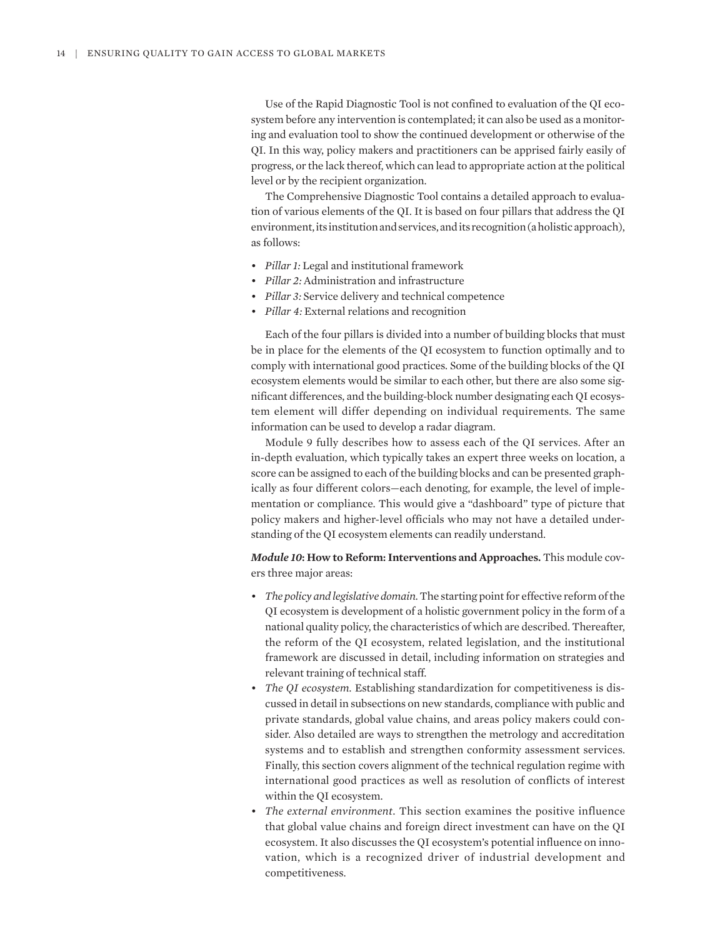Use of the Rapid Diagnostic Tool is not confined to evaluation of the QI ecosystem before any intervention is contemplated; it can also be used as a monitoring and evaluation tool to show the continued development or otherwise of the QI. In this way, policy makers and practitioners can be apprised fairly easily of progress, or the lack thereof, which can lead to appropriate action at the political level or by the recipient organization.

The Comprehensive Diagnostic Tool contains a detailed approach to evaluation of various elements of the QI. It is based on four pillars that address the QI environment, its institution and services, and its recognition (a holistic approach), as follows:

- *Pillar 1:* Legal and institutional framework
- *Pillar 2:* Administration and infrastructure
- *Pillar 3:* Service delivery and technical competence
- *Pillar 4:* External relations and recognition

Each of the four pillars is divided into a number of building blocks that must be in place for the elements of the QI ecosystem to function optimally and to comply with international good practices. Some of the building blocks of the QI ecosystem elements would be similar to each other, but there are also some significant differences, and the building-block number designating each QI ecosystem element will differ depending on individual requirements. The same information can be used to develop a radar diagram.

Module 9 fully describes how to assess each of the QI services. After an in-depth evaluation, which typically takes an expert three weeks on location, a score can be assigned to each of the building blocks and can be presented graphically as four different colors—each denoting, for example, the level of implementation or compliance. This would give a "dashboard" type of picture that policy makers and higher-level officials who may not have a detailed understanding of the QI ecosystem elements can readily understand.

*Module 10***: How to Reform: Interventions and Approaches.** This module covers three major areas:

- *The policy and legislative domain.* The starting point for effective reform of the QI ecosystem is development of a holistic government policy in the form of a national quality policy, the characteristics of which are described. Thereafter, the reform of the QI ecosystem, related legislation, and the institutional framework are discussed in detail, including information on strategies and relevant training of technical staff.
- *The QI ecosystem.* Establishing standardization for competitiveness is discussed in detail in subsections on new standards, compliance with public and private standards, global value chains, and areas policy makers could consider. Also detailed are ways to strengthen the metrology and accreditation systems and to establish and strengthen conformity assessment services. Finally, this section covers alignment of the technical regulation regime with international good practices as well as resolution of conflicts of interest within the QI ecosystem.
- *The external environment.* This section examines the positive influence that global value chains and foreign direct investment can have on the QI ecosystem. It also discusses the QI ecosystem's potential influence on innovation, which is a recognized driver of industrial development and competitiveness.